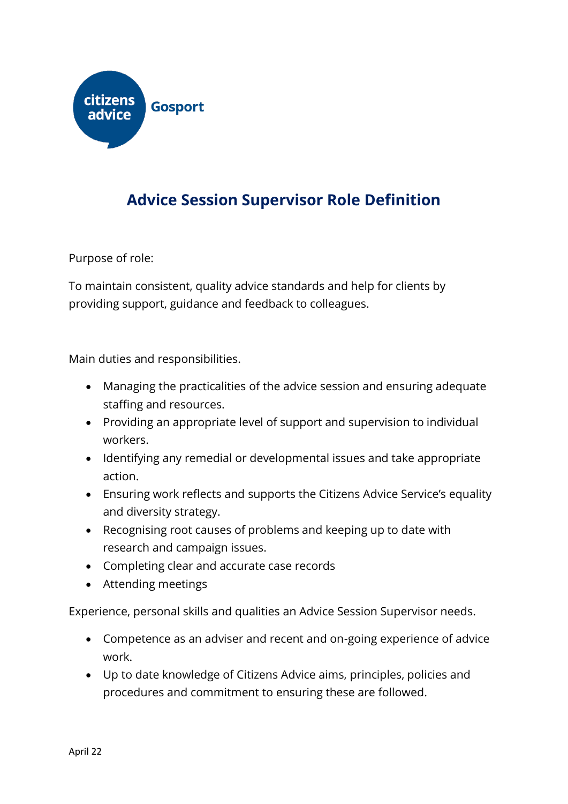

## **Advice Session Supervisor Role Definition**

Purpose of role:

To maintain consistent, quality advice standards and help for clients by providing support, guidance and feedback to colleagues.

Main duties and responsibilities.

- Managing the practicalities of the advice session and ensuring adequate staffing and resources.
- Providing an appropriate level of support and supervision to individual workers.
- Identifying any remedial or developmental issues and take appropriate action.
- Ensuring work reflects and supports the Citizens Advice Service's equality and diversity strategy.
- Recognising root causes of problems and keeping up to date with research and campaign issues.
- Completing clear and accurate case records
- Attending meetings

Experience, personal skills and qualities an Advice Session Supervisor needs.

- Competence as an adviser and recent and on-going experience of advice work.
- Up to date knowledge of Citizens Advice aims, principles, policies and procedures and commitment to ensuring these are followed.